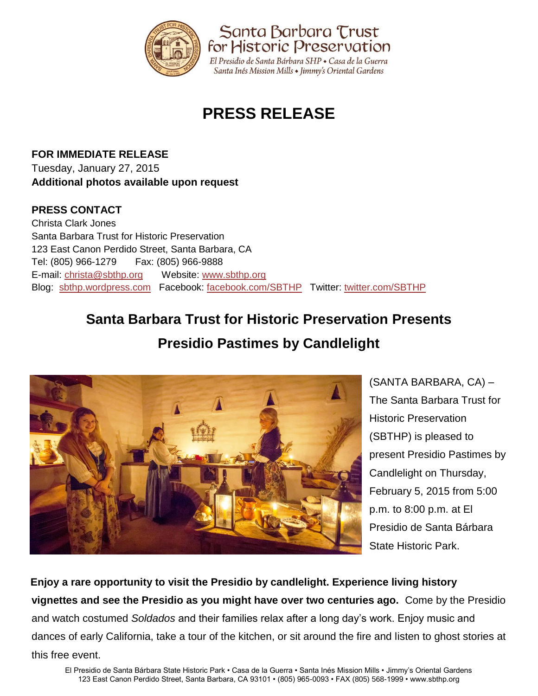

# **PRESS RELEASE**

**FOR IMMEDIATE RELEASE** Tuesday, January 27, 2015 **Additional photos available upon request**

### **PRESS CONTACT**

Christa Clark Jones Santa Barbara Trust for Historic Preservation 123 East Canon Perdido Street, Santa Barbara, CA Tel: (805) 966-1279 Fax: (805) 966-9888 E-mail: [christa@sbthp.org](mailto:christa@sbthp.org) Website: [www.sbthp.org](http://www.sbthp.org/) Blog: [sbthp.wordpress.com](http://sbthp.wordpress.com/) Facebook: [facebook.com/SBTHP](http://www.facebook.com/SBTHP) Twitter: [twitter.com/SBTHP](http://twitter.com/SBTHP)

# **Santa Barbara Trust for Historic Preservation Presents**

## **Presidio Pastimes by Candlelight**



(SANTA BARBARA, CA) – The Santa Barbara Trust for Historic Preservation (SBTHP) is pleased to present Presidio Pastimes by Candlelight on Thursday, February 5, 2015 from 5:00 p.m. to 8:00 p.m. at El Presidio de Santa Bárbara State Historic Park.

**Enjoy a rare opportunity to visit the Presidio by candlelight. Experience living history vignettes and see the Presidio as you might have over two centuries ago.** Come by the Presidio and watch costumed *Soldados* and their families relax after a long day's work. Enjoy music and dances of early California, take a tour of the kitchen, or sit around the fire and listen to ghost stories at this free event.